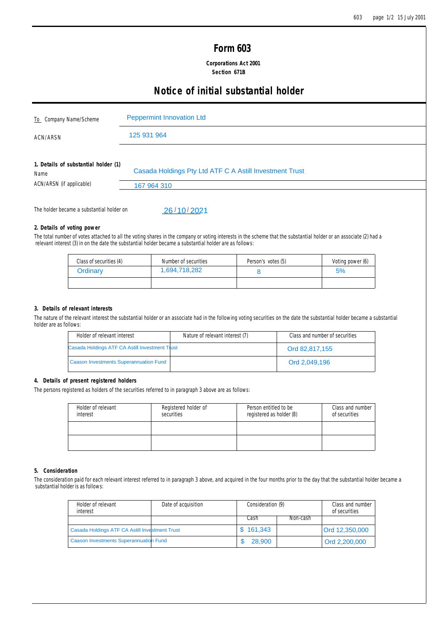## **Form 603**

 **Corporations Act 2001 Section 671B**

# **Notice of initial substantial holder**

| To Company Name/Scheme<br><b>ACN/ARSN</b> |                                                | <b>Peppermint Innovation Ltd</b> |                                                                                                                                                                                                                                                                               |                    |                                |                  |  |
|-------------------------------------------|------------------------------------------------|----------------------------------|-------------------------------------------------------------------------------------------------------------------------------------------------------------------------------------------------------------------------------------------------------------------------------|--------------------|--------------------------------|------------------|--|
|                                           |                                                | 125 931 964                      |                                                                                                                                                                                                                                                                               |                    |                                |                  |  |
| Name<br>ACN/ARSN (if applicable)          | 1. Details of substantial holder (1)           |                                  | Casada Holdings Pty Ltd ATF C A Astill Investment Trust                                                                                                                                                                                                                       |                    |                                |                  |  |
|                                           |                                                | 167 964 310                      |                                                                                                                                                                                                                                                                               |                    |                                |                  |  |
|                                           | The holder became a substantial holder on      |                                  | 26/10/2021                                                                                                                                                                                                                                                                    |                    |                                |                  |  |
|                                           | 2. Details of voting power                     |                                  |                                                                                                                                                                                                                                                                               |                    |                                |                  |  |
|                                           |                                                |                                  | The total number of votes attached to all the voting shares in the company or voting interests in the scheme that the substantial holder or an associate (2) had a<br>relevant interest (3) in on the date the substantial holder became a substantial holder are as follows: |                    |                                |                  |  |
|                                           | Class of securities (4)                        |                                  | Number of securities                                                                                                                                                                                                                                                          | Person's votes (5) |                                | Voting power (6) |  |
|                                           | Ordinary                                       |                                  | 1,694,718,282                                                                                                                                                                                                                                                                 | 8                  |                                | 5%               |  |
|                                           |                                                |                                  |                                                                                                                                                                                                                                                                               |                    |                                |                  |  |
|                                           |                                                |                                  |                                                                                                                                                                                                                                                                               |                    |                                |                  |  |
|                                           | 3. Details of relevant interests               |                                  |                                                                                                                                                                                                                                                                               |                    |                                |                  |  |
| holder are as follows:                    |                                                |                                  | The nature of the relevant interest the substantial holder or an associate had in the following voting securities on the date the substantial holder became a substantial                                                                                                     |                    |                                |                  |  |
|                                           | Holder of relevant interest                    |                                  | Nature of relevant interest (7)                                                                                                                                                                                                                                               |                    | Class and number of securities |                  |  |
|                                           | Casada Holdings ATF CA Astill Investment Trust |                                  |                                                                                                                                                                                                                                                                               |                    | Ord 82,817,155                 |                  |  |

## **2. Details of voting power**

| Class of securities (4) | Number of securities | Person's votes (5) | Voting power (6) |
|-------------------------|----------------------|--------------------|------------------|
| Ordinary                | 1,694,718,282        |                    | 5%               |
|                         |                      |                    |                  |

## **3. Details of relevant interests**

| Holder of relevant interest                    | Nature of relevant interest (7) | Class and number of securities |
|------------------------------------------------|---------------------------------|--------------------------------|
| Casada Holdings ATF CA Astill Investment Trust |                                 | Ord 82.817.155                 |
| <b>Caason Investments Superannuation Fund</b>  |                                 | Ord 2.049.196                  |

## **4. Details of present registered holders**

The persons registered as holders of the securities referred to in paragraph 3 above are as follows:

| Holder of relevant<br>interest | Registered holder of<br>securities | Person entitled to be<br>registered as holder (8) | Class and number<br>of securities |
|--------------------------------|------------------------------------|---------------------------------------------------|-----------------------------------|
|                                |                                    |                                                   |                                   |
|                                |                                    |                                                   |                                   |

## **5. Consideration**

The consideration paid for each relevant interest referred to in paragraph 3 above, and acquired in the four months prior to the day that the substantial holder became a substantial holder is as follows:

| Holder of relevant<br>interest                 | Date of acquisition | Consideration (9) |          | Class and number<br>of securities |
|------------------------------------------------|---------------------|-------------------|----------|-----------------------------------|
|                                                |                     | Cash              | Non-cash |                                   |
| Casada Holdings ATF CA Astill Investment Trust |                     | \$161,343         |          | Ord 12,350,000                    |
| <b>Caason Investments Superannuation Fund</b>  |                     | 28,900            |          | Ord 2,200,000                     |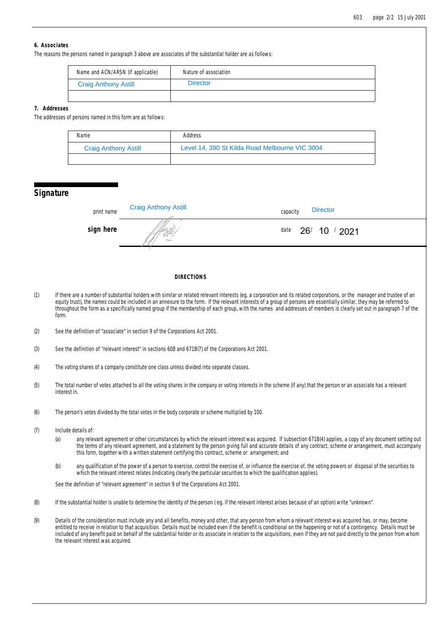## **6. Associates**

The reasons the persons named in paragraph 3 above are associates of the substantial holder are as follows:

| Name and ACN/ARSN (if applicable) | Nature of association |
|-----------------------------------|-----------------------|
| <b>Craig Anthony Astill</b>       | <b>Director</b>       |
|                                   |                       |

#### **7. Addresses**

The addresses of persons named in this form are as follows:

| Name                        | Address                                        |
|-----------------------------|------------------------------------------------|
| <b>Craig Anthony Astill</b> | Level 14, 390 St Kilda Road Melbourne VIC 3004 |
|                             |                                                |

## **Signature**

| print name | <b>Craig Anthony Astill</b> | <b>Director</b><br>capacity |
|------------|-----------------------------|-----------------------------|
| sign here  |                             | $26'$ 10 $/$ 2021<br>date   |
|            |                             |                             |

## **DIRECTIONS**

- (1) If there are a number of substantial holders with similar or related relevant interests (eg. a corporation and its related corporations, or the manager and trustee of an equity trust), the names could be included in an annexure to the form. If the relevant interests of a group of persons are essentially similar, they may be referred to throughout the form as a specifically named group if the membership of each group, with the names and addresses of members is clearly set out in paragraph 7 of the form.
- (2) See the definition of "associate" in section 9 of the Corporations Act 2001.
- (3) See the definition of "relevant interest" in sections 608 and 671B(7) of the Corporations Act 2001.
- (4) The voting shares of a company constitute one class unless divided into separate classes.
- (5) The total number of votes attached to all the voting shares in the company or voting interests in the scheme (if any) that the person or an associate has a relevant interest in.
- (6) The person's votes divided by the total votes in the body corporate or scheme multiplied by 100.
- (7) Include details of:
	- (a) any relevant agreement or other circumstances by which the relevant interest was acquired. If subsection 671B(4) applies, a copy of any document setting out the terms of any relevant agreement, and a statement by the person giving full and accurate details of any contract, scheme or arrangement, must accompany this form, together with a written statement certifying this contract, scheme or arrangement; and
	- (b) any qualification of the power of a person to exercise, control the exercise of, or influence the exercise of, the voting powers or disposal of the securities to which the relevant interest relates (indicating clearly the particular securities to which the qualification applies).

See the definition of "relevant agreement" in section 9 of the Corporations Act 2001.

- (8) If the substantial holder is unable to determine the identity of the person ( eg. if the relevant interest arises because of an option) write "unknown".
- (9) Details of the consideration must include any and all benefits, money and other, that any person from whom a relevant interest was acquired has, or may, become entitled to receive in relation to that acquisition. Details must be included even if the benefit is conditional on the happening or not of a contingency. Details must be included of any benefit paid on behalf of the substantial holder or its associate in relation to the acquisitions, even if they are not paid directly to the person from whom the relevant interest was acquired.